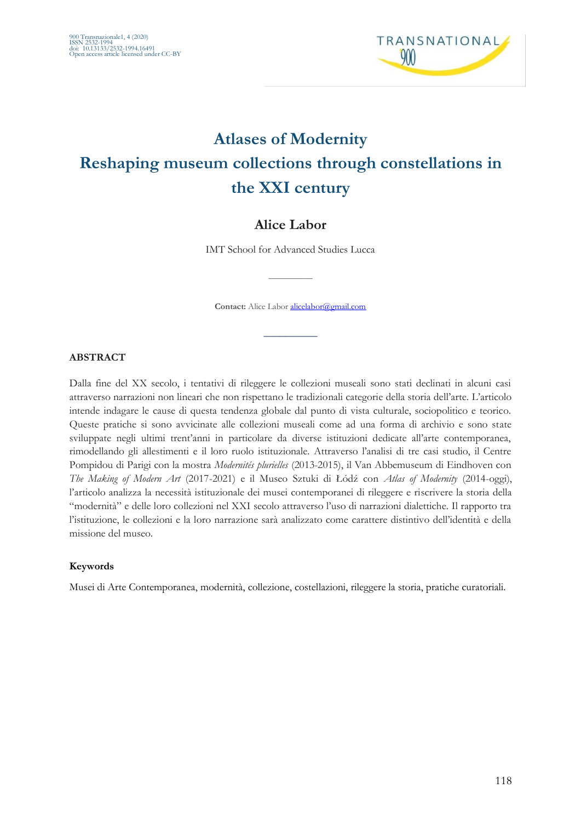

# **Atlases of Modernity Reshaping museum collections through constellations in the XXI century**

# **Alice Labor**

IMT School for Advanced Studies Lucca

 $\overline{\phantom{a}}$ 

Contact: Alice Labor [alicelabor@gmail.com](mailto:alicelabor@gmail.com)

 $\frac{1}{2}$ 

#### **ABSTRACT**

Dalla fine del XX secolo, i tentativi di rileggere le collezioni museali sono stati declinati in alcuni casi attraverso narrazioni non lineari che non rispettano le tradizionali categorie della storia dell'arte. L'articolo intende indagare le cause di questa tendenza globale dal punto di vista culturale, sociopolitico e teorico. Queste pratiche si sono avvicinate alle collezioni museali come ad una forma di archivio e sono state sviluppate negli ultimi trent'anni in particolare da diverse istituzioni dedicate all'arte contemporanea, rimodellando gli allestimenti e il loro ruolo istituzionale. Attraverso l'analisi di tre casi studio, il Centre Pompidou di Parigi con la mostra *Modernités plurielles* (2013-2015), il Van Abbemuseum di Eindhoven con *The Making of Modern Art* (2017-2021) e il Museo Sztuki di Łódź con *Atlas of Modernity* (2014-oggi), l'articolo analizza la necessità istituzionale dei musei contemporanei di rileggere e riscrivere la storia della "modernità" e delle loro collezioni nel XXI secolo attraverso l'uso di narrazioni dialettiche. Il rapporto tra l'istituzione, le collezioni e la loro narrazione sarà analizzato come carattere distintivo dell'identità e della missione del museo.

#### **Keywords**

Musei di Arte Contemporanea, modernità, collezione, costellazioni, rileggere la storia, pratiche curatoriali.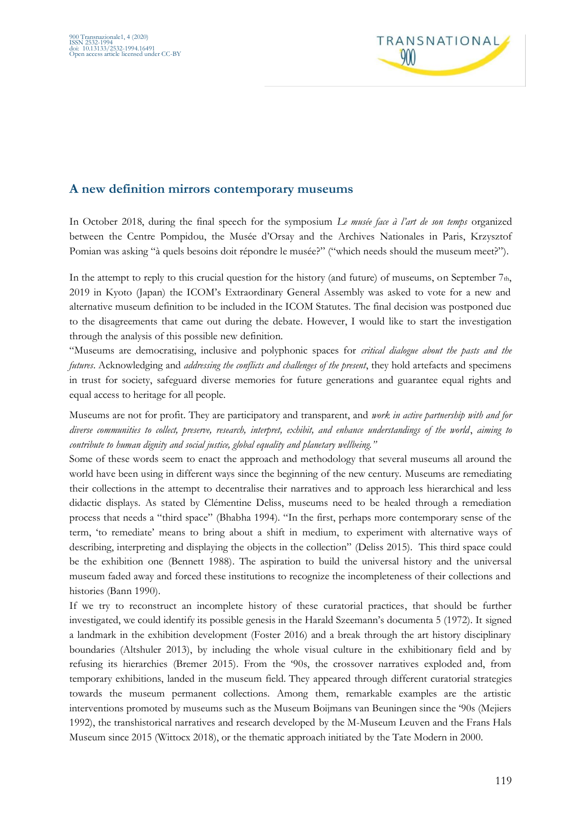

### **A new definition mirrors contemporary museums**

In October 2018, during the final speech for the symposium *Le musée face à l'art de son temps* organized between the Centre Pompidou, the Musée d'Orsay and the Archives Nationales in Paris, Krzysztof Pomian was asking "à quels besoins doit répondre le musée?" ("which needs should the museum meet?").

In the attempt to reply to this crucial question for the history (and future) of museums, on September 7th, 2019 in Kyoto (Japan) the ICOM's Extraordinary General Assembly was asked to vote for a new and alternative museum definition to be included in the ICOM Statutes. The final decision was postponed due to the disagreements that came out during the debate. However, I would like to start the investigation through the analysis of this possible new definition.

"Museums are democratising, inclusive and polyphonic spaces for *critical dialogue about the pasts and the futures*. Acknowledging and *addressing the conflicts and challenges of the present*, they hold artefacts and specimens in trust for society, safeguard diverse memories for future generations and guarantee equal rights and equal access to heritage for all people.

Museums are not for profit. They are participatory and transparent, and *work in active partnership with and for diverse communities to collect, preserve, research, interpret, exhibit, and enhance understandings of the world*, *aiming to contribute to human dignity and social justice, global equality and planetary wellbeing."*

Some of these words seem to enact the approach and methodology that several museums all around the world have been using in different ways since the beginning of the new century. Museums are remediating their collections in the attempt to decentralise their narratives and to approach less hierarchical and less didactic displays. As stated by Clémentine Deliss, museums need to be healed through a remediation process that needs a "third space" (Bhabha 1994). "In the first, perhaps more contemporary sense of the term, 'to remediate' means to bring about a shift in medium, to experiment with alternative ways of describing, interpreting and displaying the objects in the collection" (Deliss 2015). This third space could be the exhibition one (Bennett 1988). The aspiration to build the universal history and the universal museum faded away and forced these institutions to recognize the incompleteness of their collections and histories (Bann 1990).

If we try to reconstruct an incomplete history of these curatorial practices, that should be further investigated, we could identify its possible genesis in the Harald Szeemann's documenta 5 (1972). It signed a landmark in the exhibition development (Foster 2016) and a break through the art history disciplinary boundaries (Altshuler 2013), by including the whole visual culture in the exhibitionary field and by refusing its hierarchies (Bremer 2015). From the '90s, the crossover narratives exploded and, from temporary exhibitions, landed in the museum field. They appeared through different curatorial strategies towards the museum permanent collections. Among them, remarkable examples are the artistic interventions promoted by museums such as the Museum Boijmans van Beuningen since the '90s (Mejiers 1992), the transhistorical narratives and research developed by the M-Museum Leuven and the Frans Hals Museum since 2015 (Wittocx 2018), or the thematic approach initiated by the Tate Modern in 2000.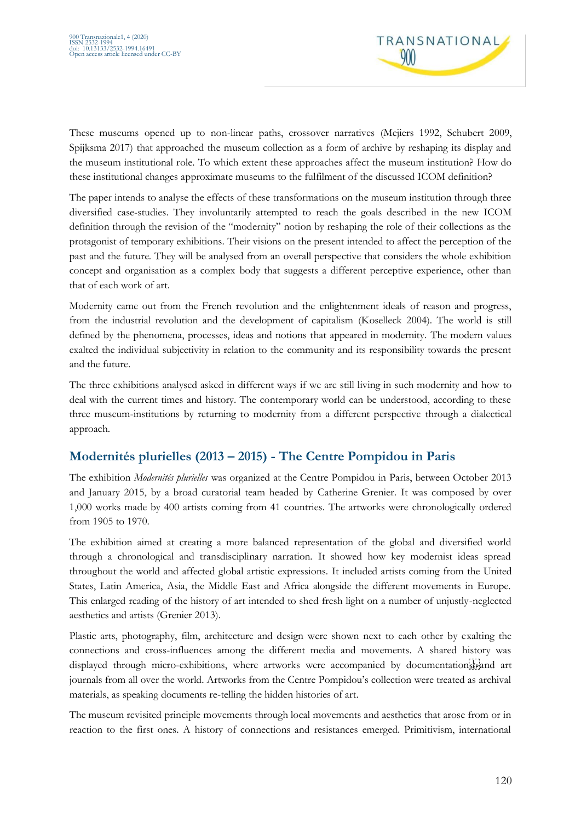

These museums opened up to non-linear paths, crossover narratives (Mejiers 1992, Schubert 2009, Spijksma 2017) that approached the museum collection as a form of archive by reshaping its display and the museum institutional role. To which extent these approaches affect the museum institution? How do these institutional changes approximate museums to the fulfilment of the discussed ICOM definition?

The paper intends to analyse the effects of these transformations on the museum institution through three diversified case-studies. They involuntarily attempted to reach the goals described in the new ICOM definition through the revision of the "modernity" notion by reshaping the role of their collections as the protagonist of temporary exhibitions. Their visions on the present intended to affect the perception of the past and the future. They will be analysed from an overall perspective that considers the whole exhibition concept and organisation as a complex body that suggests a different perceptive experience, other than that of each work of art.

Modernity came out from the French revolution and the enlightenment ideals of reason and progress, from the industrial revolution and the development of capitalism (Koselleck 2004). The world is still defined by the phenomena, processes, ideas and notions that appeared in modernity. The modern values exalted the individual subjectivity in relation to the community and its responsibility towards the present and the future.

The three exhibitions analysed asked in different ways if we are still living in such modernity and how to deal with the current times and history. The contemporary world can be understood, according to these three museum-institutions by returning to modernity from a different perspective through a dialectical approach.

# **Modernités plurielles (2013 – 2015) - The Centre Pompidou in Paris**

The exhibition *Modernités plurielles* was organized at the Centre Pompidou in Paris, between October 2013 and January 2015, by a broad curatorial team headed by Catherine Grenier. It was composed by over 1,000 works made by 400 artists coming from 41 countries. The artworks were chronologically ordered from 1905 to 1970.

The exhibition aimed at creating a more balanced representation of the global and diversified world through a chronological and transdisciplinary narration. It showed how key modernist ideas spread throughout the world and affected global artistic expressions. It included artists coming from the United States, Latin America, Asia, the Middle East and Africa alongside the different movements in Europe. This enlarged reading of the history of art intended to shed fresh light on a number of unjustly-neglected aesthetics and artists (Grenier 2013).

Plastic arts, photography, film, architecture and design were shown next to each other by exalting the connections and cross-influences among the different media and movements. A shared history was displayed through micro-exhibitions, where artworks were accompanied by documentations, and art journals from all over the world. Artworks from the Centre Pompidou's collection were treated as archival materials, as speaking documents re-telling the hidden histories of art.

The museum revisited principle movements through local movements and aesthetics that arose from or in reaction to the first ones. A history of connections and resistances emerged. Primitivism, international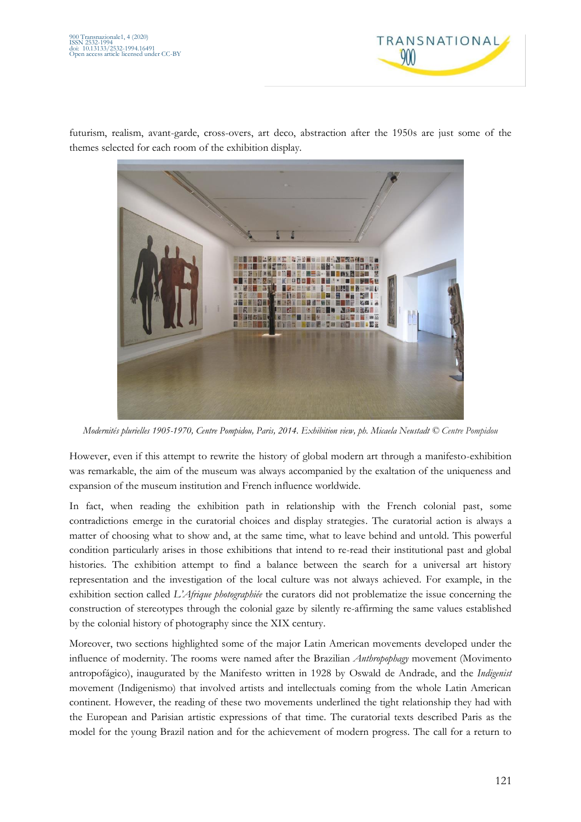

futurism, realism, avant-garde, cross-overs, art deco, abstraction after the 1950s are just some of the themes selected for each room of the exhibition display.



*Modernités plurielles 1905-1970, Centre Pompidou, Paris, 2014. Exhibition view, ph. Micaela Neustadt © Centre Pompidou*

However, even if this attempt to rewrite the history of global modern art through a manifesto-exhibition was remarkable, the aim of the museum was always accompanied by the exaltation of the uniqueness and expansion of the museum institution and French influence worldwide.

In fact, when reading the exhibition path in relationship with the French colonial past, some contradictions emerge in the curatorial choices and display strategies. The curatorial action is always a matter of choosing what to show and, at the same time, what to leave behind and untold. This powerful condition particularly arises in those exhibitions that intend to re-read their institutional past and global histories. The exhibition attempt to find a balance between the search for a universal art history representation and the investigation of the local culture was not always achieved. For example, in the exhibition section called *L'Afrique photographiée* the curators did not problematize the issue concerning the construction of stereotypes through the colonial gaze by silently re-affirming the same values established by the colonial history of photography since the XIX century.

Moreover, two sections highlighted some of the major Latin American movements developed under the influence of modernity. The rooms were named after the Brazilian *Anthropophagy* movement (Movimento antropofágico), inaugurated by the Manifesto written in 1928 by Oswald de Andrade, and the *Indigenist* movement (Indigenismo) that involved artists and intellectuals coming from the whole Latin American continent. However, the reading of these two movements underlined the tight relationship they had with the European and Parisian artistic expressions of that time. The curatorial texts described Paris as the model for the young Brazil nation and for the achievement of modern progress. The call for a return to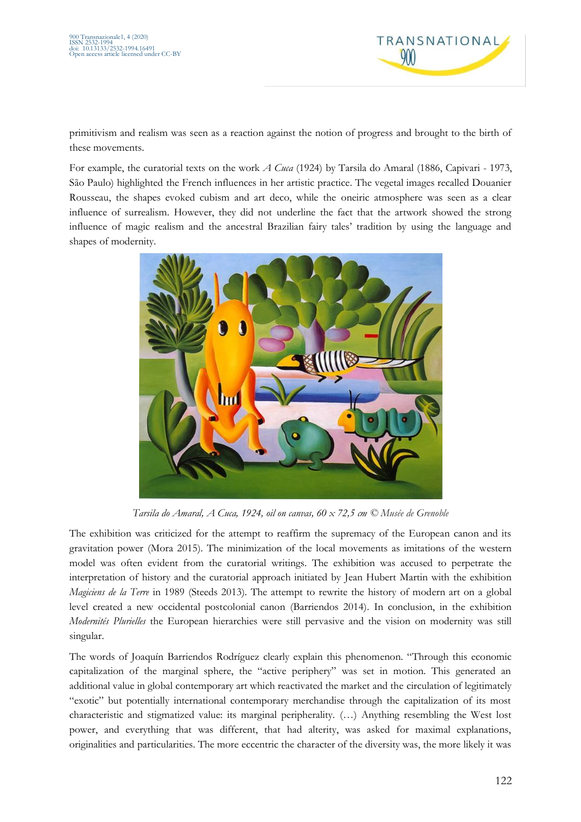

primitivism and realism was seen as a reaction against the notion of progress and brought to the birth of these movements.

For example, the curatorial texts on the work *A Cuca* (1924) by Tarsila do Amaral (1886, Capivari - 1973, São Paulo) highlighted the French influences in her artistic practice. The vegetal images recalled Douanier Rousseau, the shapes evoked cubism and art deco, while the oneiric atmosphere was seen as a clear influence of surrealism. However, they did not underline the fact that the artwork showed the strong influence of magic realism and the ancestral Brazilian fairy tales' tradition by using the language and shapes of modernity.



*Tarsila do Amaral, A Cuca, 1924, oil on canvas, 60 x 72,5 cm © Musée de Grenoble*

The exhibition was criticized for the attempt to reaffirm the supremacy of the European canon and its gravitation power (Mora 2015). The minimization of the local movements as imitations of the western model was often evident from the curatorial writings. The exhibition was accused to perpetrate the interpretation of history and the curatorial approach initiated by Jean Hubert Martin with the exhibition *Magiciens de la Terre* in 1989 (Steeds 2013). The attempt to rewrite the history of modern art on a global level created a new occidental postcolonial canon (Barriendos 2014). In conclusion, in the exhibition *Modernités Plurielles* the European hierarchies were still pervasive and the vision on modernity was still singular.

The words of Joaquín Barriendos Rodríguez clearly explain this phenomenon. "Through this economic capitalization of the marginal sphere, the "active periphery" was set in motion. This generated an additional value in global contemporary art which reactivated the market and the circulation of legitimately "exotic" but potentially international contemporary merchandise through the capitalization of its most characteristic and stigmatized value: its marginal peripherality. (…) Anything resembling the West lost power, and everything that was different, that had alterity, was asked for maximal explanations, originalities and particularities. The more eccentric the character of the diversity was, the more likely it was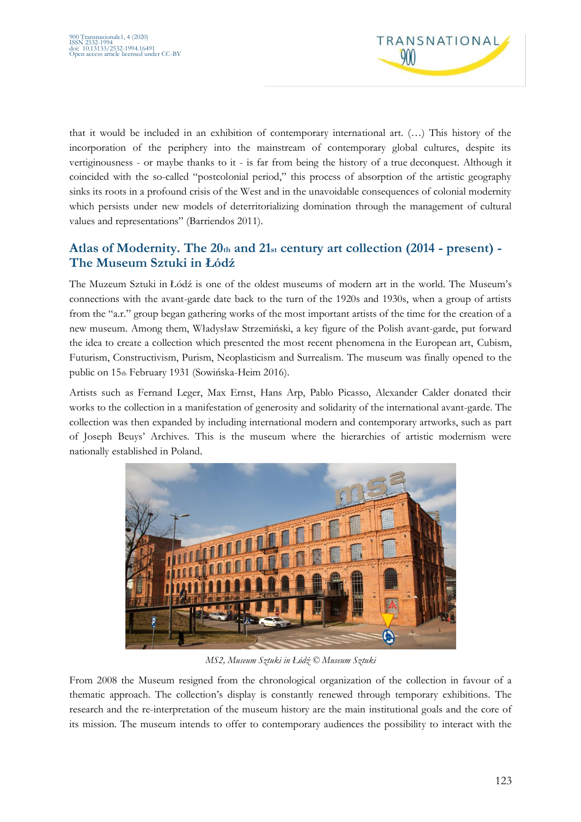

that it would be included in an exhibition of contemporary international art. (…) This history of the incorporation of the periphery into the mainstream of contemporary global cultures, despite its vertiginousness - or maybe thanks to it - is far from being the history of a true deconquest. Although it coincided with the so-called "postcolonial period," this process of absorption of the artistic geography sinks its roots in a profound crisis of the West and in the unavoidable consequences of colonial modernity which persists under new models of deterritorializing domination through the management of cultural values and representations" (Barriendos 2011).

# **Atlas of Modernity. The 20th and 21st century art collection (2014 - present) - The Museum Sztuki in Łódź**

The Muzeum Sztuki in Łódź is one of the oldest museums of modern art in the world. The Museum's connections with the avant-garde date back to the turn of the 1920s and 1930s, when a group of artists from the "a.r." group began gathering works of the most important artists of the time for the creation of a new museum. Among them, Władysław Strzemiński, a key figure of the Polish avant-garde, put forward the idea to create a collection which presented the most recent phenomena in the European art, Cubism, Futurism, Constructivism, Purism, Neoplasticism and Surrealism. The museum was finally opened to the public on 15th February 1931 (Sowińska-Heim 2016).

Artists such as Fernand Leger, Max Ernst, Hans Arp, Pablo Picasso, Alexander Calder donated their works to the collection in a manifestation of generosity and solidarity of the international avant-garde. The collection was then expanded by including international modern and contemporary artworks, such as part of Joseph Beuys' Archives. This is the museum where the hierarchies of artistic modernism were nationally established in Poland.



*MS2, Museum Sztuki in Łódź © Museum Sztuki*

From 2008 the Museum resigned from the chronological organization of the collection in favour of a thematic approach. The collection's display is constantly renewed through temporary exhibitions. The research and the re-interpretation of the museum history are the main institutional goals and the core of its mission. The museum intends to offer to contemporary audiences the possibility to interact with the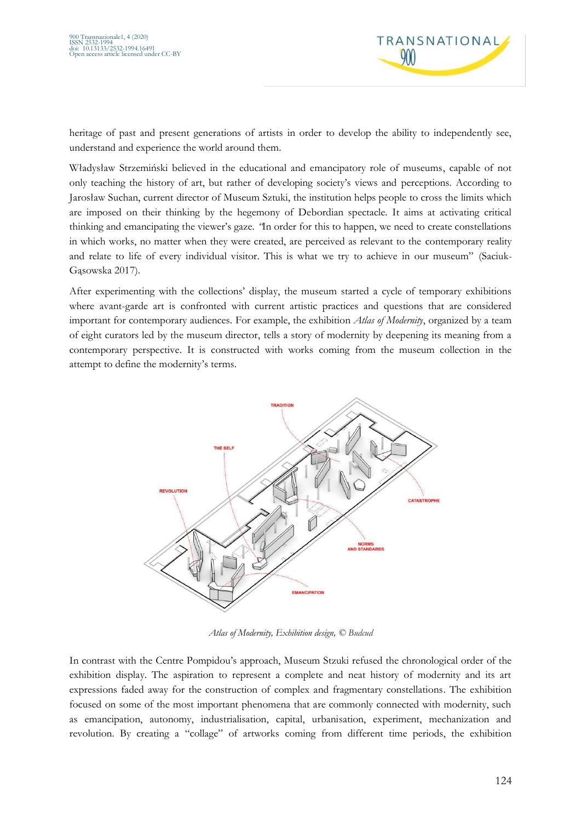

heritage of past and present generations of artists in order to develop the ability to independently see, understand and experience the world around them.

Władysław Strzemiński believed in the educational and emancipatory role of museums, capable of not only teaching the history of art, but rather of developing society's views and perceptions. According to Jarosław Suchan, current director of Museum Sztuki, the institution helps people to cross the limits which are imposed on their thinking by the hegemony of Debordian spectacle. It aims at activating critical thinking and emancipating the viewer's gaze. *"*In order for this to happen, we need to create constellations in which works, no matter when they were created, are perceived as relevant to the contemporary reality and relate to life of every individual visitor. This is what we try to achieve in our museum" (Saciuk-Gąsowska 2017).

After experimenting with the collections' display, the museum started a cycle of temporary exhibitions where avant-garde art is confronted with current artistic practices and questions that are considered important for contemporary audiences. For example, the exhibition *Atlas of Modernity*, organized by a team of eight curators led by the museum director, tells a story of modernity by deepening its meaning from a contemporary perspective. It is constructed with works coming from the museum collection in the attempt to define the modernity's terms.



*Atlas of Modernity, Exhibition design, © Budcud*

In contrast with the Centre Pompidou's approach, Museum Stzuki refused the chronological order of the exhibition display. The aspiration to represent a complete and neat history of modernity and its art expressions faded away for the construction of complex and fragmentary constellations. The exhibition focused on some of the most important phenomena that are commonly connected with modernity, such as emancipation, autonomy, industrialisation, capital, urbanisation, experiment, mechanization and revolution. By creating a "collage" of artworks coming from different time periods, the exhibition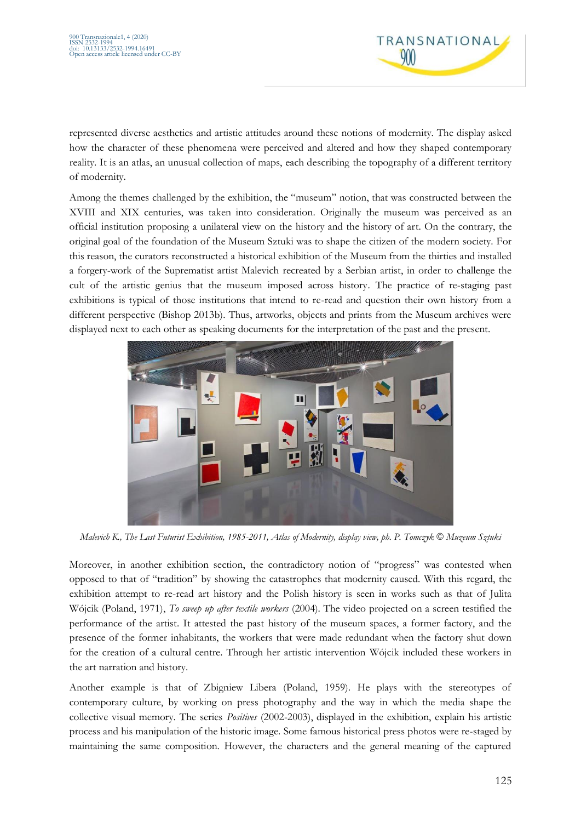

represented diverse aesthetics and artistic attitudes around these notions of modernity. The display asked how the character of these phenomena were perceived and altered and how they shaped contemporary reality. It is an atlas, an unusual collection of maps, each describing the topography of a different territory of modernity.

Among the themes challenged by the exhibition, the "museum" notion, that was constructed between the XVIII and XIX centuries, was taken into consideration. Originally the museum was perceived as an official institution proposing a unilateral view on the history and the history of art. On the contrary, the original goal of the foundation of the Museum Sztuki was to shape the citizen of the modern society. For this reason, the curators reconstructed a historical exhibition of the Museum from the thirties and installed a forgery-work of the Suprematist artist Malevich recreated by a Serbian artist, in order to challenge the cult of the artistic genius that the museum imposed across history. The practice of re-staging past exhibitions is typical of those institutions that intend to re-read and question their own history from a different perspective (Bishop 2013b). Thus, artworks, objects and prints from the Museum archives were displayed next to each other as speaking documents for the interpretation of the past and the present.



*Malevich K., The Last Futurist Exhibition, 1985-2011, Atlas of Modernity, display view, ph. P. Tomczyk* © *Muzeum Sztuki*

Moreover, in another exhibition section, the contradictory notion of "progress" was contested when opposed to that of "tradition" by showing the catastrophes that modernity caused. With this regard, the exhibition attempt to re-read art history and the Polish history is seen in works such as that of Julita Wójcik (Poland, 1971), *To sweep up after textile workers* (2004). The video projected on a screen testified the performance of the artist. It attested the past history of the museum spaces, a former factory, and the presence of the former inhabitants, the workers that were made redundant when the factory shut down for the creation of a cultural centre. Through her artistic intervention Wójcik included these workers in the art narration and history.

Another example is that of Zbigniew Libera (Poland, 1959). He plays with the stereotypes of contemporary culture, by working on press photography and the way in which the media shape the collective visual memory. The series *Positives* (2002-2003), displayed in the exhibition, explain his artistic process and his manipulation of the historic image. Some famous historical press photos were re-staged by maintaining the same composition. However, the characters and the general meaning of the captured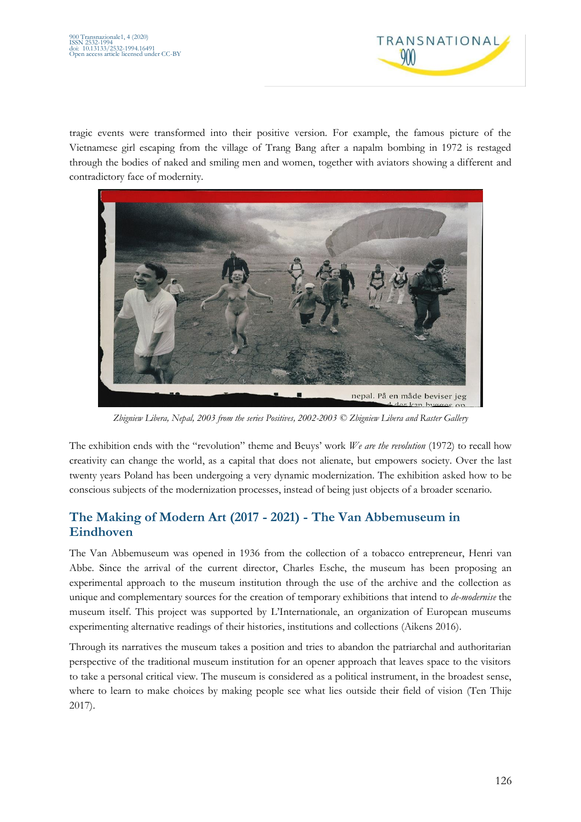

tragic events were transformed into their positive version. For example, the famous picture of the Vietnamese girl escaping from the village of Trang Bang after a napalm bombing in 1972 is restaged through the bodies of naked and smiling men and women, together with aviators showing a different and contradictory face of modernity.



*Zbigniew Libera, Nepal, 2003 from the series Positives, 2002-2003 © Zbigniew Libera and Raster Gallery*

The exhibition ends with the "revolution" theme and Beuys' work *We are the revolution* (1972) to recall how creativity can change the world, as a capital that does not alienate, but empowers society. Over the last twenty years Poland has been undergoing a very dynamic modernization. The exhibition asked how to be conscious subjects of the modernization processes, instead of being just objects of a broader scenario.

# **The Making of Modern Art (2017 - 2021) - The Van Abbemuseum in Eindhoven**

The Van Abbemuseum was opened in 1936 from the collection of a tobacco entrepreneur, Henri van Abbe. Since the arrival of the current director, Charles Esche, the museum has been proposing an experimental approach to the museum institution through the use of the archive and the collection as unique and complementary sources for the creation of temporary exhibitions that intend to *de-modernise* the museum itself. This project was supported by L'Internationale, an organization of European museums experimenting alternative readings of their histories, institutions and collections (Aikens 2016).

Through its narratives the museum takes a position and tries to abandon the patriarchal and authoritarian perspective of the traditional museum institution for an opener approach that leaves space to the visitors to take a personal critical view. The museum is considered as a political instrument, in the broadest sense, where to learn to make choices by making people see what lies outside their field of vision (Ten Thije 2017).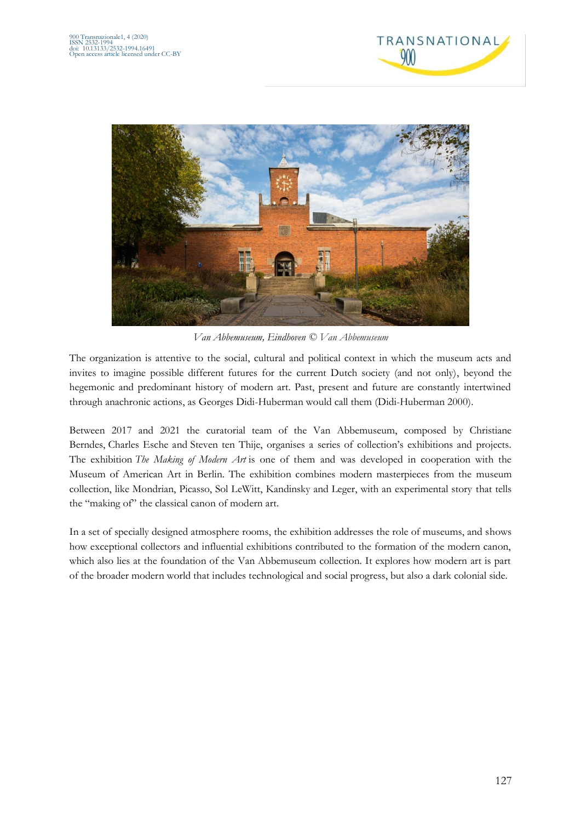



*Van Abbemuseum, Eindhoven © Van Abbemuseum*

The organization is attentive to the social, cultural and political context in which the museum acts and invites to imagine possible different futures for the current Dutch society (and not only), beyond the hegemonic and predominant history of modern art. Past, present and future are constantly intertwined through anachronic actions, as Georges Didi-Huberman would call them (Didi-Huberman 2000).

Between 2017 and 2021 the curatorial team of the Van Abbemuseum, composed by Christiane Berndes, Charles Esche and Steven ten Thije, organises a series of collection's exhibitions and projects. The exhibition *The Making of Modern Art* is one of them and was developed in cooperation with the Museum of American Art in Berlin. The exhibition combines modern masterpieces from the museum collection, like Mondrian, Picasso, Sol LeWitt, Kandinsky and Leger, with an experimental story that tells the "making of" the classical canon of modern art.

In a set of specially designed atmosphere rooms, the exhibition addresses the role of museums, and shows how exceptional collectors and influential exhibitions contributed to the formation of the modern canon, which also lies at the foundation of the Van Abbemuseum collection. It explores how modern art is part of the broader modern world that includes technological and social progress, but also a dark colonial side.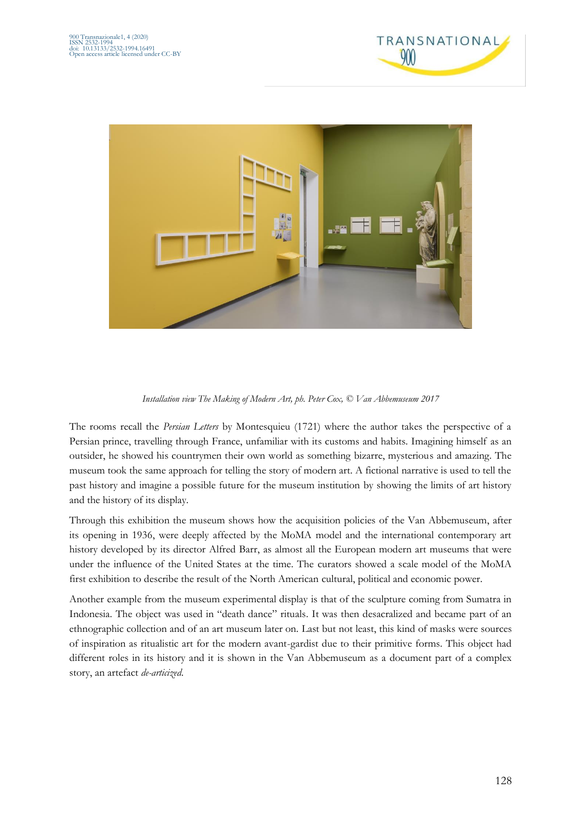



*Installation view The Making of Modern Art, ph. Peter Cox, © Van Abbemuseum 2017*

The rooms recall the *Persian Letters* by Montesquieu (1721) where the author takes the perspective of a Persian prince, travelling through France, unfamiliar with its customs and habits. Imagining himself as an outsider, he showed his countrymen their own world as something bizarre, mysterious and amazing. The museum took the same approach for telling the story of modern art. A fictional narrative is used to tell the past history and imagine a possible future for the museum institution by showing the limits of art history and the history of its display.

Through this exhibition the museum shows how the acquisition policies of the Van Abbemuseum, after its opening in 1936, were deeply affected by the MoMA model and the international contemporary art history developed by its director Alfred Barr, as almost all the European modern art museums that were under the influence of the United States at the time. The curators showed a scale model of the MoMA first exhibition to describe the result of the North American cultural, political and economic power.

Another example from the museum experimental display is that of the sculpture coming from Sumatra in Indonesia. The object was used in "death dance" rituals. It was then desacralized and became part of an ethnographic collection and of an art museum later on. Last but not least, this kind of masks were sources of inspiration as ritualistic art for the modern avant-gardist due to their primitive forms. This object had different roles in its history and it is shown in the Van Abbemuseum as a document part of a complex story, an artefact *de-articized*.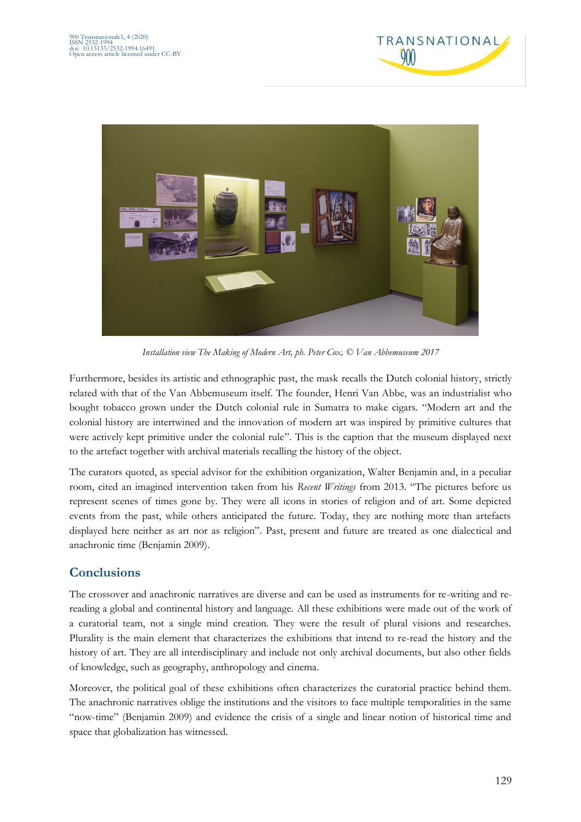



*Installation view The Making of Modern Art, ph. Peter Cox, © Van Abbemuseum 2017*

Furthermore, besides its artistic and ethnographic past, the mask recalls the Dutch colonial history, strictly related with that of the Van Abbemuseum itself. The founder, Henri Van Abbe, was an industrialist who bought tobacco grown under the Dutch colonial rule in Sumatra to make cigars. "Modern art and the colonial history are intertwined and the innovation of modern art was inspired by primitive cultures that were actively kept primitive under the colonial rule". This is the caption that the museum displayed next to the artefact together with archival materials recalling the history of the object.

The curators quoted, as special advisor for the exhibition organization, Walter Benjamin and, in a peculiar room, cited an imagined intervention taken from his *Recent Writings* from 2013. "The pictures before us represent scenes of times gone by. They were all icons in stories of religion and of art. Some depicted events from the past, while others anticipated the future. Today, they are nothing more than artefacts displayed here neither as art nor as religion". Past, present and future are treated as one dialectical and anachronic time (Benjamin 2009).

## **Conclusions**

The crossover and anachronic narratives are diverse and can be used as instruments for re-writing and rereading a global and continental history and language. All these exhibitions were made out of the work of a curatorial team, not a single mind creation. They were the result of plural visions and researches. Plurality is the main element that characterizes the exhibitions that intend to re-read the history and the history of art. They are all interdisciplinary and include not only archival documents, but also other fields of knowledge, such as geography, anthropology and cinema.

Moreover, the political goal of these exhibitions often characterizes the curatorial practice behind them. The anachronic narratives oblige the institutions and the visitors to face multiple temporalities in the same "now-time" (Benjamin 2009) and evidence the crisis of a single and linear notion of historical time and space that globalization has witnessed.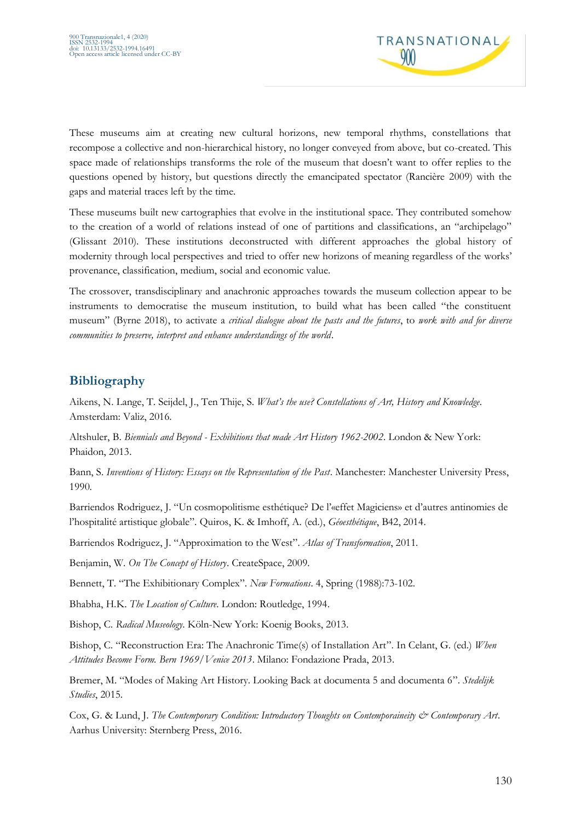

These museums aim at creating new cultural horizons, new temporal rhythms, constellations that recompose a collective and non-hierarchical history, no longer conveyed from above, but co-created. This space made of relationships transforms the role of the museum that doesn't want to offer replies to the questions opened by history, but questions directly the emancipated spectator (Rancière 2009) with the gaps and material traces left by the time.

These museums built new cartographies that evolve in the institutional space. They contributed somehow to the creation of a world of relations instead of one of partitions and classifications, an "archipelago" (Glissant 2010). These institutions deconstructed with different approaches the global history of modernity through local perspectives and tried to offer new horizons of meaning regardless of the works' provenance, classification, medium, social and economic value.

The crossover, transdisciplinary and anachronic approaches towards the museum collection appear to be instruments to democratise the museum institution, to build what has been called "the constituent museum" (Byrne 2018), to activate a *critical dialogue about the pasts and the futures*, to *work with and for diverse communities to preserve, interpret and enhance understandings of the world*.

# **Bibliography**

Aikens, N. Lange, T. Seijdel, J., Ten Thije, S. *What's the use? Constellations of Art, History and Knowledge*. Amsterdam: Valiz, 2016.

Altshuler, B. *Biennials and Beyond - Exhibitions that made Art History 1962-2002*. London & New York: Phaidon, 2013.

Bann, S. *Inventions of History: Essays on the Representation of the Past*. Manchester: Manchester University Press, 1990.

Barriendos Rodriguez, J. "Un cosmopolitisme esthétique? De l'«effet Magiciens» et d'autres antinomies de l'hospitalité artistique globale". Quiros, K. & Imhoff, A. (ed.), *Géoesthétique*, B42, 2014.

Barriendos Rodriguez, J. "Approximation to the West". *Atlas of Transformation*, 2011.

Benjamin, W. *On The Concept of History*. CreateSpace, 2009.

Bennett, T. "The Exhibitionary Complex". *New Formations*. 4, Spring (1988):73-102.

Bhabha, H.K. *The Location of Culture*. London: Routledge, 1994.

Bishop, C. *Radical Museology*. Köln-New York: Koenig Books, 2013.

Bishop, C. "Reconstruction Era: The Anachronic Time(s) of Installation Art". In Celant, G. (ed.) *When Attitudes Become Form. Bern 1969/Venice 2013*. Milano: Fondazione Prada, 2013.

Bremer, M. "Modes of Making Art History. Looking Back at documenta 5 and documenta 6". *Stedelijk Studies*, 2015.

Cox, G. & Lund, J. *The Contemporary Condition: Introductory Thoughts on Contemporaineity & Contemporary Art.* Aarhus University: Sternberg Press, 2016.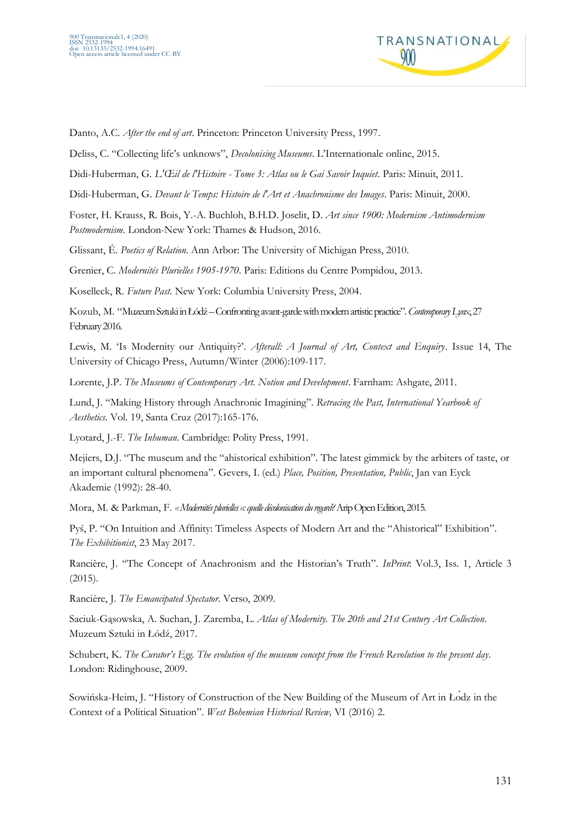

Danto, A.C. *After the end of art*. Princeton: Princeton University Press, 1997.

Deliss, C. "Collecting life's unknows", *Decolonising Museums*. L'Internationale online, 2015.

Didi-Huberman, G*. L'Œil de l'Histoire - Tome 3: Atlas ou le Gai Savoir Inquiet*. Paris: Minuit, 2011.

Didi-Huberman, G. *Devant le Temps: Histoire de l'Art et Anachronisme des Images*. Paris: Minuit, 2000.

Foster, H. Krauss, R. Bois, Y.-A. Buchloh, B.H.D. Joselit, D. *Art since 1900: Modernism Antimodernism Postmodernism*. London-New York: Thames & Hudson, 2016.

Glissant, É. *Poetics of Relation*. Ann Arbor: The University of Michigan Press, 2010.

Grenier, C. *Modernités Plurielles 1905-1970*. Paris: Editions du Centre Pompidou, 2013.

Koselleck, R. *Future Past.* New York: Columbia University Press, 2004.

Kozub, M. "Muzeum Sztuki in Łódź–Confronting avant-garde with modern artistic practice".*Contemporary Lynx*, 27 February 2016.

Lewis, M. 'Is Modernity our Antiquity?'. *Afterall: A Journal of Art, Context and Enquiry*. Issue 14, The University of Chicago Press, Autumn/Winter (2006):109-117.

Lorente, J.P. *The Museums of Contemporary Art. Notion and Development*. Farnham: Ashgate, 2011.

Lund, J. "Making History through Anachronic Imagining"*. Retracing the Past, International Yearbook of Aesthetics*. Vol. 19, Santa Cruz (2017):165-176.

Lyotard, J.-F. *The Inhuman*. Cambridge: Polity Press, 1991.

Mejiers, D.J. "The museum and the "ahistorical exhibition". The latest gimmick by the arbiters of taste, or an important cultural phenomena". Gevers, I. (ed.) *Place, Position, Presentation, Public*, Jan van Eyck Akademie (1992): 28-40.

Mora, M. & Parkman, F. *«Modernités plurielles»: quelle décolonisation du regard?*AripOpen Edition, 2015.

Pyś, P. "On Intuition and Affinity: Timeless Aspects of Modern Art and the "Ahistorical" Exhibition". *The Exhibitionist*, 23 May 2017.

Rancière, J. "The Concept of Anachronism and the Historian's Truth". *InPrint*: Vol.3, Iss. 1, Article 3 (2015).

Rancière, J. *The Emancipated Spectator*. Verso, 2009.

Saciuk-Gąsowska, A. Suchan, J. Zaremba, L. *Atlas of Modernity. The 20th and 21st Century Art Collection*. Muzeum Sztuki in Łódź, 2017.

Schubert, K. *The Curator's Egg. The evolution of the museum concept from the French Revolution to the present day*. London: Ridinghouse, 2009.

Sowińska-Heim, J. "History of Construction of the New Building of the Museum of Art in Łódz in the Context of a Political Situation". *West Bohemian Historical Review,* VI (2016) 2.